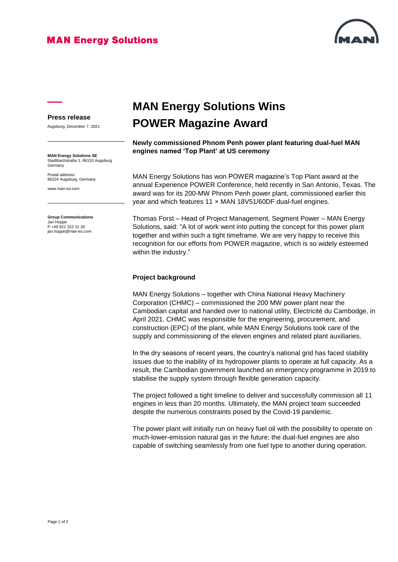## **MAN Energy Solutions**



#### **Press release**

Augsburg, December 7, 2021

**MAN Energy Solutions SE** Stadtbachstraße 1, 86153 Augsburg Germany

Postal address: 86224 Augsburg, Germany

www.man-es.com

**Group Communications** Jan Hoppe P +49 821 322 31 26 jan.hoppe@man-es.com

# **MAN Energy Solutions Wins POWER Magazine Award**

**Newly commissioned Phnom Penh power plant featuring dual-fuel MAN engines named 'Top Plant' at US ceremony** 

MAN Energy Solutions has won POWER magazine's Top Plant award at the annual Experience POWER Conference, held recently in San Antonio, Texas. The award was for its 200-MW Phnom Penh power plant, commissioned earlier this year and which features 11 x MAN 18V51/60DF dual-fuel engines.

Thomas Forst – Head of Project Management, Segment Power – MAN Energy Solutions, said: "A lot of work went into putting the concept for this power plant together and within such a tight timeframe. We are very happy to receive this recognition for our efforts from POWER magazine, which is so widely esteemed within the industry."

### **Project background**

MAN Energy Solutions – together with China National Heavy Machinery Corporation (CHMC) – commissioned the 200 MW power plant near the Cambodian capital and handed over to national utility, Electricité du Cambodge, in April 2021. CHMC was responsible for the engineering, procurement, and construction (EPC) of the plant, while MAN Energy Solutions took care of the supply and commissioning of the eleven engines and related plant auxiliaries.

In the dry seasons of recent years, the country's national grid has faced stability issues due to the inability of its hydropower plants to operate at full capacity. As a result, the Cambodian government launched an emergency programme in 2019 to stabilise the supply system through flexible generation capacity.

The project followed a tight timeline to deliver and successfully commission all 11 engines in less than 20 months. Ultimately, the MAN project team succeeded despite the numerous constraints posed by the Covid-19 pandemic.

The power plant will initially run on heavy fuel oil with the possibility to operate on much-lower-emission natural gas in the future; the dual-fuel engines are also capable of switching seamlessly from one fuel type to another during operation.